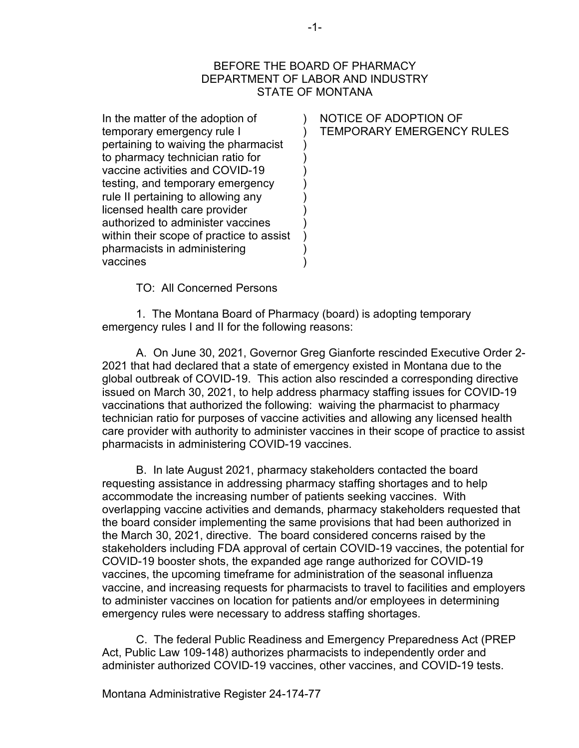## BEFORE THE BOARD OF PHARMACY DEPARTMENT OF LABOR AND INDUSTRY STATE OF MONTANA

) ) ) ) ) ) ) ) ) ) ) )

In the matter of the adoption of temporary emergency rule I pertaining to waiving the pharmacist to pharmacy technician ratio for vaccine activities and COVID-19 testing, and temporary emergency rule II pertaining to allowing any licensed health care provider authorized to administer vaccines within their scope of practice to assist pharmacists in administering vaccines

NOTICE OF ADOPTION OF TEMPORARY EMERGENCY RULES

TO: All Concerned Persons

1. The Montana Board of Pharmacy (board) is adopting temporary emergency rules I and II for the following reasons:

A. On June 30, 2021, Governor Greg Gianforte rescinded Executive Order 2- 2021 that had declared that a state of emergency existed in Montana due to the global outbreak of COVID-19. This action also rescinded a corresponding directive issued on March 30, 2021, to help address pharmacy staffing issues for COVID-19 vaccinations that authorized the following: waiving the pharmacist to pharmacy technician ratio for purposes of vaccine activities and allowing any licensed health care provider with authority to administer vaccines in their scope of practice to assist pharmacists in administering COVID-19 vaccines.

B. In late August 2021, pharmacy stakeholders contacted the board requesting assistance in addressing pharmacy staffing shortages and to help accommodate the increasing number of patients seeking vaccines. With overlapping vaccine activities and demands, pharmacy stakeholders requested that the board consider implementing the same provisions that had been authorized in the March 30, 2021, directive. The board considered concerns raised by the stakeholders including FDA approval of certain COVID-19 vaccines, the potential for COVID-19 booster shots, the expanded age range authorized for COVID-19 vaccines, the upcoming timeframe for administration of the seasonal influenza vaccine, and increasing requests for pharmacists to travel to facilities and employers to administer vaccines on location for patients and/or employees in determining emergency rules were necessary to address staffing shortages.

C. The federal Public Readiness and Emergency Preparedness Act (PREP Act, Public Law 109-148) authorizes pharmacists to independently order and administer authorized COVID-19 vaccines, other vaccines, and COVID-19 tests.

Montana Administrative Register 24-174-77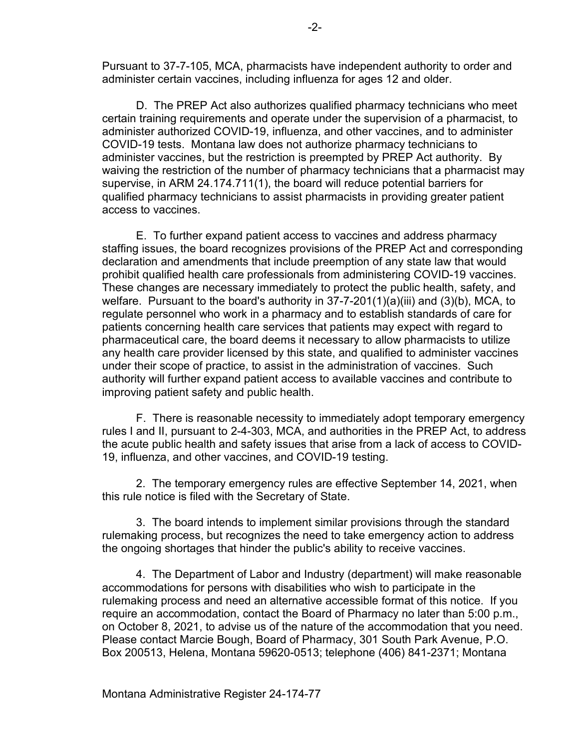Pursuant to 37-7-105, MCA, pharmacists have independent authority to order and administer certain vaccines, including influenza for ages 12 and older.

D. The PREP Act also authorizes qualified pharmacy technicians who meet certain training requirements and operate under the supervision of a pharmacist, to administer authorized COVID-19, influenza, and other vaccines, and to administer COVID-19 tests. Montana law does not authorize pharmacy technicians to administer vaccines, but the restriction is preempted by PREP Act authority. By waiving the restriction of the number of pharmacy technicians that a pharmacist may supervise, in ARM 24.174.711(1), the board will reduce potential barriers for qualified pharmacy technicians to assist pharmacists in providing greater patient access to vaccines.

E. To further expand patient access to vaccines and address pharmacy staffing issues, the board recognizes provisions of the PREP Act and corresponding declaration and amendments that include preemption of any state law that would prohibit qualified health care professionals from administering COVID-19 vaccines. These changes are necessary immediately to protect the public health, safety, and welfare. Pursuant to the board's authority in 37-7-201(1)(a)(iii) and (3)(b), MCA, to regulate personnel who work in a pharmacy and to establish standards of care for patients concerning health care services that patients may expect with regard to pharmaceutical care, the board deems it necessary to allow pharmacists to utilize any health care provider licensed by this state, and qualified to administer vaccines under their scope of practice, to assist in the administration of vaccines. Such authority will further expand patient access to available vaccines and contribute to improving patient safety and public health.

F. There is reasonable necessity to immediately adopt temporary emergency rules I and II, pursuant to 2-4-303, MCA, and authorities in the PREP Act, to address the acute public health and safety issues that arise from a lack of access to COVID-19, influenza, and other vaccines, and COVID-19 testing.

2. The temporary emergency rules are effective September 14, 2021, when this rule notice is filed with the Secretary of State.

3. The board intends to implement similar provisions through the standard rulemaking process, but recognizes the need to take emergency action to address the ongoing shortages that hinder the public's ability to receive vaccines.

4. The Department of Labor and Industry (department) will make reasonable accommodations for persons with disabilities who wish to participate in the rulemaking process and need an alternative accessible format of this notice. If you require an accommodation, contact the Board of Pharmacy no later than 5:00 p.m., on October 8, 2021, to advise us of the nature of the accommodation that you need. Please contact Marcie Bough, Board of Pharmacy, 301 South Park Avenue, P.O. Box 200513, Helena, Montana 59620-0513; telephone (406) 841-2371; Montana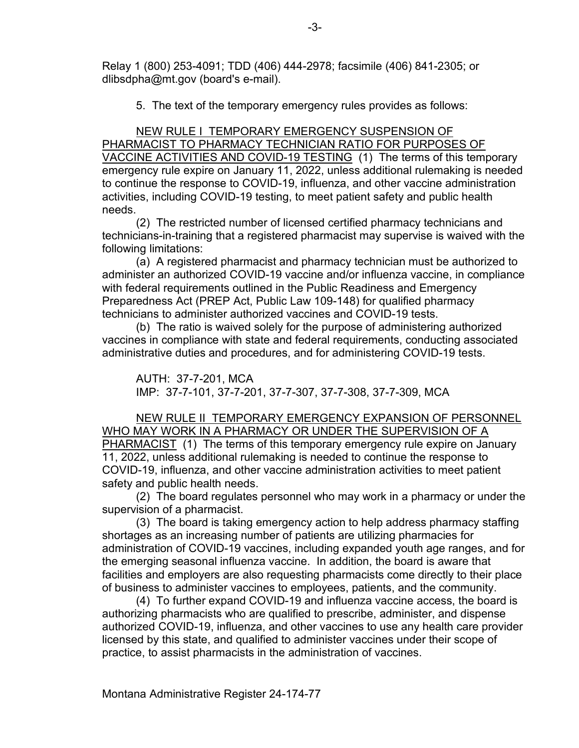Relay 1 (800) 253-4091; TDD (406) 444-2978; facsimile (406) 841-2305; or dlibsdpha@mt.gov (board's e-mail).

5. The text of the temporary emergency rules provides as follows:

NEW RULE I TEMPORARY EMERGENCY SUSPENSION OF PHARMACIST TO PHARMACY TECHNICIAN RATIO FOR PURPOSES OF VACCINE ACTIVITIES AND COVID-19 TESTING (1) The terms of this temporary emergency rule expire on January 11, 2022, unless additional rulemaking is needed to continue the response to COVID-19, influenza, and other vaccine administration activities, including COVID-19 testing, to meet patient safety and public health needs.

(2) The restricted number of licensed certified pharmacy technicians and technicians-in-training that a registered pharmacist may supervise is waived with the following limitations:

(a) A registered pharmacist and pharmacy technician must be authorized to administer an authorized COVID-19 vaccine and/or influenza vaccine, in compliance with federal requirements outlined in the Public Readiness and Emergency Preparedness Act (PREP Act, Public Law 109-148) for qualified pharmacy technicians to administer authorized vaccines and COVID-19 tests.

(b) The ratio is waived solely for the purpose of administering authorized vaccines in compliance with state and federal requirements, conducting associated administrative duties and procedures, and for administering COVID-19 tests.

AUTH: 37-7-201, MCA IMP: 37-7-101, 37-7-201, 37-7-307, 37-7-308, 37-7-309, MCA

NEW RULE II TEMPORARY EMERGENCY EXPANSION OF PERSONNEL WHO MAY WORK IN A PHARMACY OR UNDER THE SUPERVISION OF A PHARMACIST (1) The terms of this temporary emergency rule expire on January 11, 2022, unless additional rulemaking is needed to continue the response to COVID-19, influenza, and other vaccine administration activities to meet patient safety and public health needs.

(2) The board regulates personnel who may work in a pharmacy or under the supervision of a pharmacist.

(3) The board is taking emergency action to help address pharmacy staffing shortages as an increasing number of patients are utilizing pharmacies for administration of COVID-19 vaccines, including expanded youth age ranges, and for the emerging seasonal influenza vaccine. In addition, the board is aware that facilities and employers are also requesting pharmacists come directly to their place of business to administer vaccines to employees, patients, and the community.

(4) To further expand COVID-19 and influenza vaccine access, the board is authorizing pharmacists who are qualified to prescribe, administer, and dispense authorized COVID-19, influenza, and other vaccines to use any health care provider licensed by this state, and qualified to administer vaccines under their scope of practice, to assist pharmacists in the administration of vaccines.